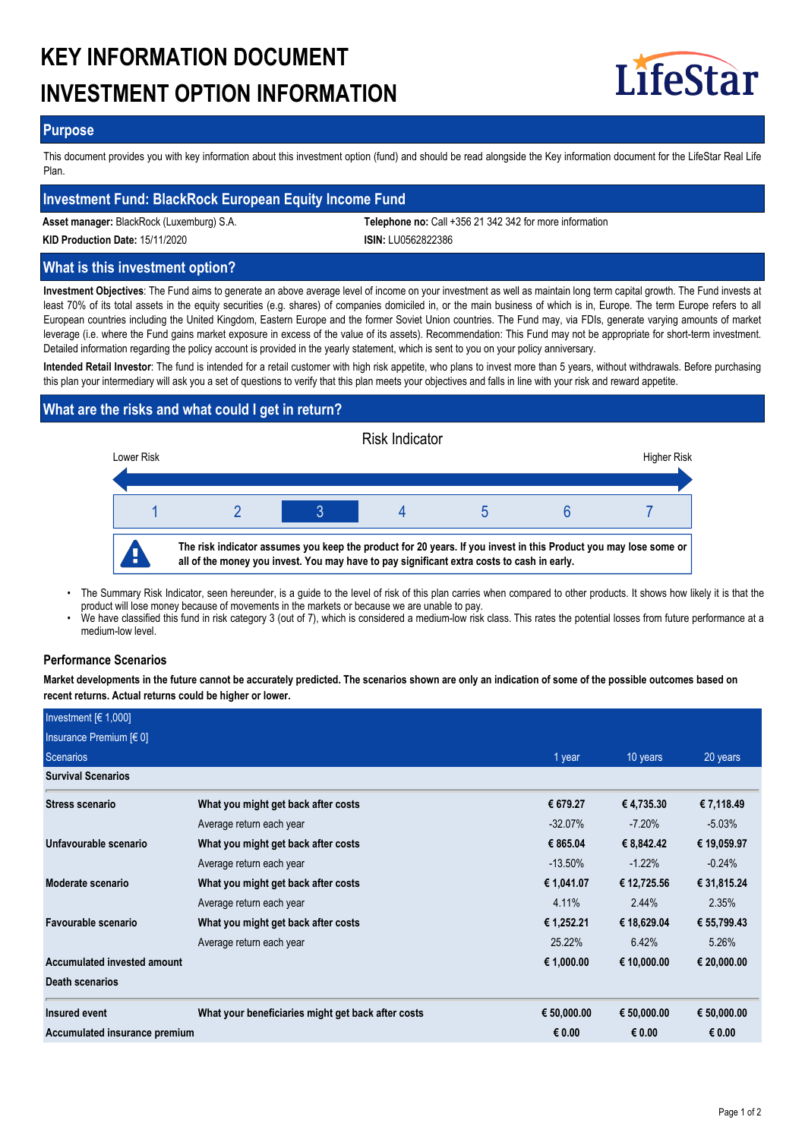# **KEY INFORMATION DOCUMENT INVESTMENT OPTION INFORMATION**



## **Purpose**

This document provides you with key information about this investment option (fund) and should be read alongside the Key information document for the LifeStar Real Life Plan.

## **Investment Fund: BlackRock European Equity Income Fund**

**Asset manager:** BlackRock (Luxemburg) S.A. **Telephone no:** Call +356 21 342 342 for more information

**KID Production Date:** 15/11/2020 **ISIN:** LU0562822386

## **What is this investment option?**

**Investment Objectives**: The Fund aims to generate an above average level of income on your investment as well as maintain long term capital growth. The Fund invests at least 70% of its total assets in the equity securities (e.g. shares) of companies domiciled in, or the main business of which is in, Europe. The term Europe refers to all European countries including the United Kingdom, Eastern Europe and the former Soviet Union countries. The Fund may, via FDIs, generate varying amounts of market leverage (i.e. where the Fund gains market exposure in excess of the value of its assets). Recommendation: This Fund may not be appropriate for short-term investment. Detailed information regarding the policy account is provided in the yearly statement, which is sent to you on your policy anniversary.

**Intended Retail Investor**: The fund is intended for a retail customer with high risk appetite, who plans to invest more than 5 years, without withdrawals. Before purchasing this plan your intermediary will ask you a set of questions to verify that this plan meets your objectives and falls in line with your risk and reward appetite.

# **What are the risks and what could I get in return?**



- The Summary Risk Indicator, seen hereunder, is a guide to the level of risk of this plan carries when compared to other products. It shows how likely it is that the product will lose money because of movements in the markets or because we are unable to pay. •
- We have classified this fund in risk category 3 (out of 7), which is considered a medium-low risk class. This rates the potential losses from future performance at a medium-low level. •

## **Performance Scenarios**

**Market developments in the future cannot be accurately predicted. The scenarios shown are only an indication of some of the possible outcomes based on recent returns. Actual returns could be higher or lower.**

| Investment $F(1,000]$         |                                                    |             |             |             |
|-------------------------------|----------------------------------------------------|-------------|-------------|-------------|
| Insurance Premium $[60]$      |                                                    |             |             |             |
| Scenarios                     | 1 year                                             | 10 years    | 20 years    |             |
| <b>Survival Scenarios</b>     |                                                    |             |             |             |
| Stress scenario               | What you might get back after costs                | € 679.27    | € 4,735.30  | € 7,118.49  |
|                               | Average return each year                           | $-32.07\%$  | $-7.20\%$   | $-5.03\%$   |
| Unfavourable scenario         | What you might get back after costs                | € 865.04    | € 8,842.42  | € 19,059.97 |
|                               | Average return each year                           | $-13.50\%$  | $-1.22\%$   | $-0.24%$    |
| Moderate scenario             | What you might get back after costs                | € 1,041.07  | € 12,725.56 | € 31,815.24 |
|                               | Average return each year                           | 4.11%       | 2.44%       | 2.35%       |
| Favourable scenario           | What you might get back after costs                | € 1,252.21  | € 18,629.04 | € 55,799.43 |
|                               | Average return each year                           | 25.22%      | 6.42%       | 5.26%       |
| Accumulated invested amount   |                                                    | € 1,000.00  | € 10,000.00 | € 20,000.00 |
| <b>Death scenarios</b>        |                                                    |             |             |             |
| Insured event                 | What your beneficiaries might get back after costs | € 50,000.00 | € 50,000.00 | € 50,000.00 |
| Accumulated insurance premium |                                                    | € 0.00      | € 0.00      | € 0.00      |